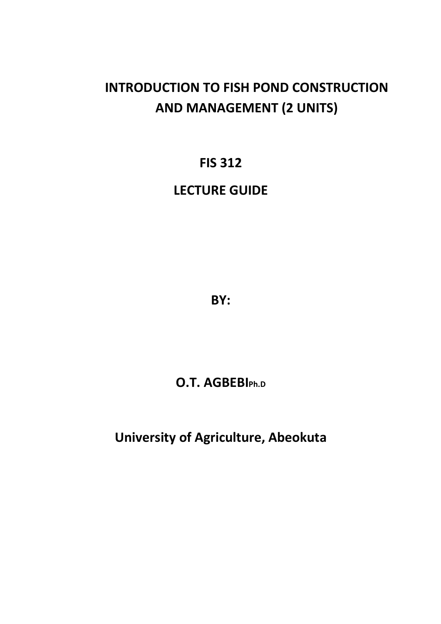# **INTRODUCTION TO FISH POND CONSTRUCTION AND MANAGEMENT (2 UNITS)**

## **FIS 312**

## **LECTURE GUIDE**

**BY:** 

## **O.T. AGBEBIPh.D**

**University of Agriculture, Abeokuta**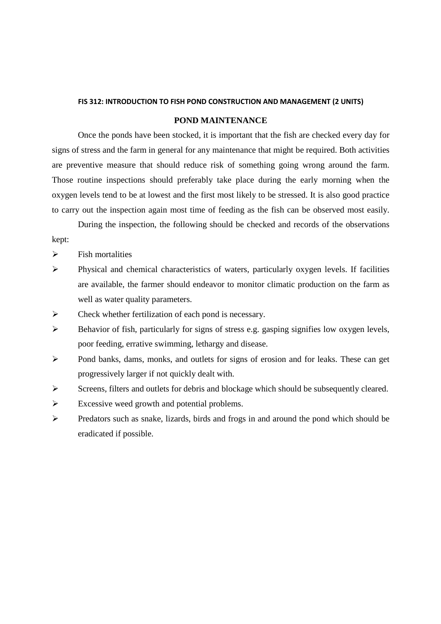### **FIS 312: INTRODUCTION TO FISH POND CONSTRUCTION AND MANAGEMENT (2 UNITS)**

## **POND MAINTENANCE**

 Once the ponds have been stocked, it is important that the fish are checked every day for signs of stress and the farm in general for any maintenance that might be required. Both activities are preventive measure that should reduce risk of something going wrong around the farm. Those routine inspections should preferably take place during the early morning when the oxygen levels tend to be at lowest and the first most likely to be stressed. It is also good practice to carry out the inspection again most time of feeding as the fish can be observed most easily.

 During the inspection, the following should be checked and records of the observations kept:

- $\triangleright$  Fish mortalities
- Physical and chemical characteristics of waters, particularly oxygen levels. If facilities are available, the farmer should endeavor to monitor climatic production on the farm as well as water quality parameters.
- $\triangleright$  Check whether fertilization of each pond is necessary.
- Behavior of fish, particularly for signs of stress e.g. gasping signifies low oxygen levels, poor feeding, errative swimming, lethargy and disease.
- Pond banks, dams, monks, and outlets for signs of erosion and for leaks. These can get progressively larger if not quickly dealt with.
- Screens, filters and outlets for debris and blockage which should be subsequently cleared.
- $\triangleright$  Excessive weed growth and potential problems.
- Predators such as snake, lizards, birds and frogs in and around the pond which should be eradicated if possible.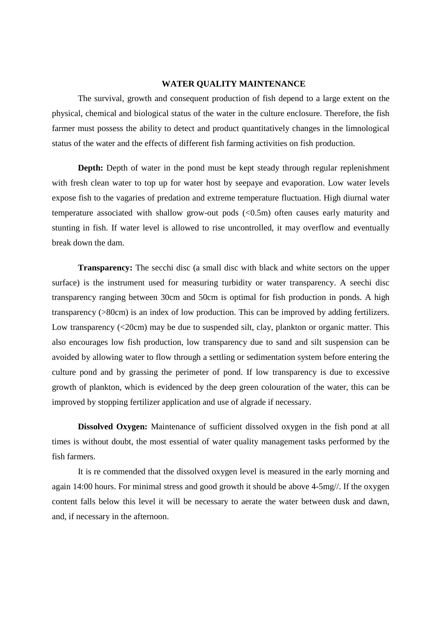### **WATER QUALITY MAINTENANCE**

 The survival, growth and consequent production of fish depend to a large extent on the physical, chemical and biological status of the water in the culture enclosure. Therefore, the fish farmer must possess the ability to detect and product quantitatively changes in the limnological status of the water and the effects of different fish farming activities on fish production.

**Depth:** Depth of water in the pond must be kept steady through regular replenishment with fresh clean water to top up for water host by seepaye and evaporation. Low water levels expose fish to the vagaries of predation and extreme temperature fluctuation. High diurnal water temperature associated with shallow grow-out pods (<0.5m) often causes early maturity and stunting in fish. If water level is allowed to rise uncontrolled, it may overflow and eventually break down the dam.

**Transparency:** The secchi disc (a small disc with black and white sectors on the upper surface) is the instrument used for measuring turbidity or water transparency. A seechi disc transparency ranging between 30cm and 50cm is optimal for fish production in ponds. A high transparency (>80cm) is an index of low production. This can be improved by adding fertilizers. Low transparency (<20cm) may be due to suspended silt, clay, plankton or organic matter. This also encourages low fish production, low transparency due to sand and silt suspension can be avoided by allowing water to flow through a settling or sedimentation system before entering the culture pond and by grassing the perimeter of pond. If low transparency is due to excessive growth of plankton, which is evidenced by the deep green colouration of the water, this can be improved by stopping fertilizer application and use of algrade if necessary.

**Dissolved Oxygen:** Maintenance of sufficient dissolved oxygen in the fish pond at all times is without doubt, the most essential of water quality management tasks performed by the fish farmers.

It is re commended that the dissolved oxygen level is measured in the early morning and again 14:00 hours. For minimal stress and good growth it should be above 4-5mg//. If the oxygen content falls below this level it will be necessary to aerate the water between dusk and dawn, and, if necessary in the afternoon.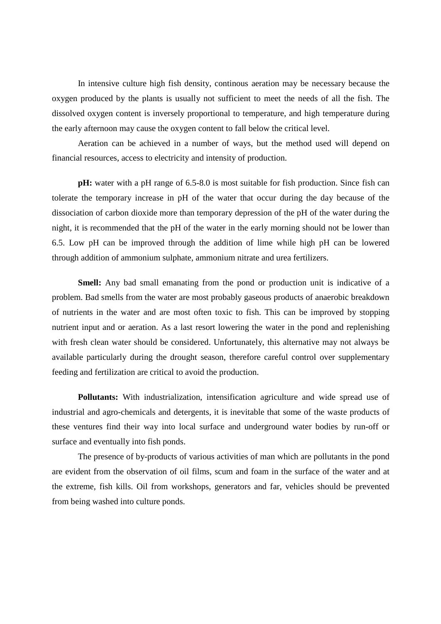In intensive culture high fish density, continous aeration may be necessary because the oxygen produced by the plants is usually not sufficient to meet the needs of all the fish. The dissolved oxygen content is inversely proportional to temperature, and high temperature during the early afternoon may cause the oxygen content to fall below the critical level.

Aeration can be achieved in a number of ways, but the method used will depend on financial resources, access to electricity and intensity of production.

**pH:** water with a pH range of 6.5-8.0 is most suitable for fish production. Since fish can tolerate the temporary increase in pH of the water that occur during the day because of the dissociation of carbon dioxide more than temporary depression of the pH of the water during the night, it is recommended that the pH of the water in the early morning should not be lower than 6.5. Low pH can be improved through the addition of lime while high pH can be lowered through addition of ammonium sulphate, ammonium nitrate and urea fertilizers.

**Smell:** Any bad small emanating from the pond or production unit is indicative of a problem. Bad smells from the water are most probably gaseous products of anaerobic breakdown of nutrients in the water and are most often toxic to fish. This can be improved by stopping nutrient input and or aeration. As a last resort lowering the water in the pond and replenishing with fresh clean water should be considered. Unfortunately, this alternative may not always be available particularly during the drought season, therefore careful control over supplementary feeding and fertilization are critical to avoid the production.

**Pollutants:** With industrialization, intensification agriculture and wide spread use of industrial and agro-chemicals and detergents, it is inevitable that some of the waste products of these ventures find their way into local surface and underground water bodies by run-off or surface and eventually into fish ponds.

The presence of by-products of various activities of man which are pollutants in the pond are evident from the observation of oil films, scum and foam in the surface of the water and at the extreme, fish kills. Oil from workshops, generators and far, vehicles should be prevented from being washed into culture ponds.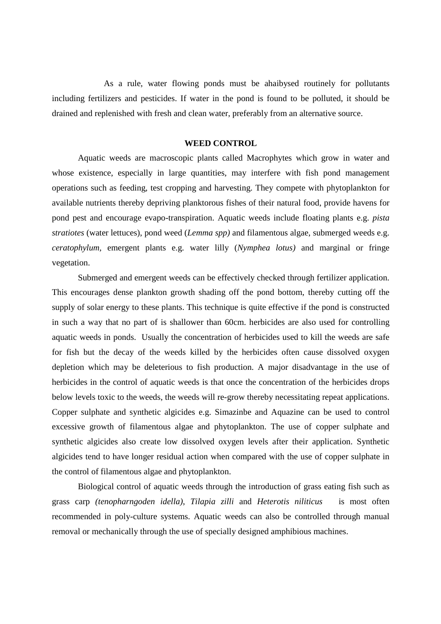As a rule, water flowing ponds must be ahaibysed routinely for pollutants including fertilizers and pesticides. If water in the pond is found to be polluted, it should be drained and replenished with fresh and clean water, preferably from an alternative source.

#### **WEED CONTROL**

 Aquatic weeds are macroscopic plants called Macrophytes which grow in water and whose existence, especially in large quantities, may interfere with fish pond management operations such as feeding, test cropping and harvesting. They compete with phytoplankton for available nutrients thereby depriving planktorous fishes of their natural food, provide havens for pond pest and encourage evapo-transpiration. Aquatic weeds include floating plants e.g. *pista stratiotes* (water lettuces), pond weed (*Lemma spp)* and filamentous algae, submerged weeds e.g. *ceratophylum,* emergent plants e.g. water lilly (*Nymphea lotus)* and marginal or fringe vegetation.

Submerged and emergent weeds can be effectively checked through fertilizer application. This encourages dense plankton growth shading off the pond bottom, thereby cutting off the supply of solar energy to these plants. This technique is quite effective if the pond is constructed in such a way that no part of is shallower than 60cm. herbicides are also used for controlling aquatic weeds in ponds. Usually the concentration of herbicides used to kill the weeds are safe for fish but the decay of the weeds killed by the herbicides often cause dissolved oxygen depletion which may be deleterious to fish production. A major disadvantage in the use of herbicides in the control of aquatic weeds is that once the concentration of the herbicides drops below levels toxic to the weeds, the weeds will re-grow thereby necessitating repeat applications. Copper sulphate and synthetic algicides e.g. Simazinbe and Aquazine can be used to control excessive growth of filamentous algae and phytoplankton. The use of copper sulphate and synthetic algicides also create low dissolved oxygen levels after their application. Synthetic algicides tend to have longer residual action when compared with the use of copper sulphate in the control of filamentous algae and phytoplankton.

Biological control of aquatic weeds through the introduction of grass eating fish such as grass carp *(tenopharngoden idella)*, *Tilapia zilli* and *Heterotis niliticus* is most often recommended in poly-culture systems. Aquatic weeds can also be controlled through manual removal or mechanically through the use of specially designed amphibious machines.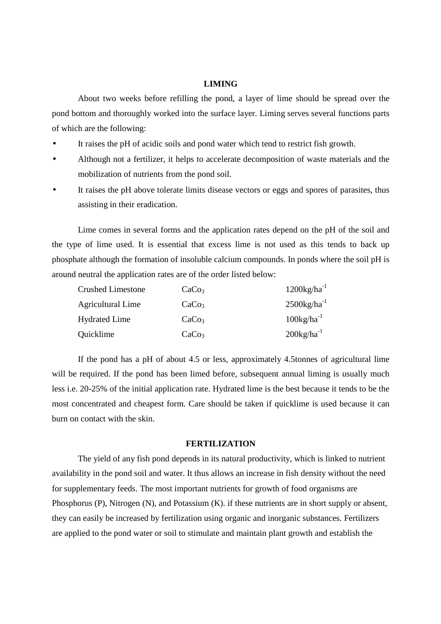#### **LIMING**

 About two weeks before refilling the pond, a layer of lime should be spread over the pond bottom and thoroughly worked into the surface layer. Liming serves several functions parts of which are the following:

- It raises the pH of acidic soils and pond water which tend to restrict fish growth.
- Although not a fertilizer, it helps to accelerate decomposition of waste materials and the mobilization of nutrients from the pond soil.
- It raises the pH above tolerate limits disease vectors or eggs and spores of parasites, thus assisting in their eradication.

Lime comes in several forms and the application rates depend on the pH of the soil and the type of lime used. It is essential that excess lime is not used as this tends to back up phosphate although the formation of insoluble calcium compounds. In ponds where the soil pH is around neutral the application rates are of the order listed below:

| <b>Crushed Limestone</b> | CaCo <sub>3</sub> | $1200$ kg/ha <sup>-1</sup> |  |
|--------------------------|-------------------|----------------------------|--|
| <b>Agricultural Lime</b> | CaCo <sub>3</sub> | $2500$ kg/ha <sup>-1</sup> |  |
| <b>Hydrated Lime</b>     | CaCo <sub>3</sub> | $100\text{kg/ha}^{-1}$     |  |
| Quicklime                | CaCo <sub>3</sub> | $200kg/ha^{-1}$            |  |

If the pond has a pH of about 4.5 or less, approximately 4.5tonnes of agricultural lime will be required. If the pond has been limed before, subsequent annual liming is usually much less i.e. 20-25% of the initial application rate. Hydrated lime is the best because it tends to be the most concentrated and cheapest form. Care should be taken if quicklime is used because it can burn on contact with the skin.

## **FERTILIZATION**

 The yield of any fish pond depends in its natural productivity, which is linked to nutrient availability in the pond soil and water. It thus allows an increase in fish density without the need for supplementary feeds. The most important nutrients for growth of food organisms are Phosphorus (P), Nitrogen (N), and Potassium (K). if these nutrients are in short supply or absent, they can easily be increased by fertilization using organic and inorganic substances. Fertilizers are applied to the pond water or soil to stimulate and maintain plant growth and establish the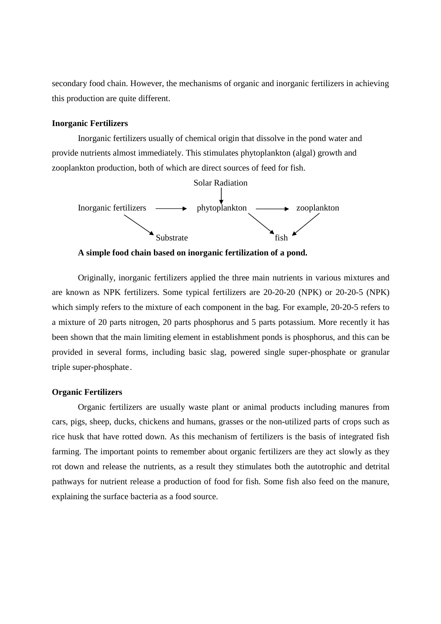secondary food chain. However, the mechanisms of organic and inorganic fertilizers in achieving this production are quite different.

#### **Inorganic Fertilizers**

 Inorganic fertilizers usually of chemical origin that dissolve in the pond water and provide nutrients almost immediately. This stimulates phytoplankton (algal) growth and zooplankton production, both of which are direct sources of feed for fish.



**A simple food chain based on inorganic fertilization of a pond.** 

Originally, inorganic fertilizers applied the three main nutrients in various mixtures and are known as NPK fertilizers. Some typical fertilizers are 20-20-20 (NPK) or 20-20-5 (NPK) which simply refers to the mixture of each component in the bag. For example, 20-20-5 refers to a mixture of 20 parts nitrogen, 20 parts phosphorus and 5 parts potassium. More recently it has been shown that the main limiting element in establishment ponds is phosphorus, and this can be provided in several forms, including basic slag, powered single super-phosphate or granular triple super-phosphate .

## **Organic Fertilizers**

 Organic fertilizers are usually waste plant or animal products including manures from cars, pigs, sheep, ducks, chickens and humans, grasses or the non-utilized parts of crops such as rice husk that have rotted down. As this mechanism of fertilizers is the basis of integrated fish farming. The important points to remember about organic fertilizers are they act slowly as they rot down and release the nutrients, as a result they stimulates both the autotrophic and detrital pathways for nutrient release a production of food for fish. Some fish also feed on the manure, explaining the surface bacteria as a food source.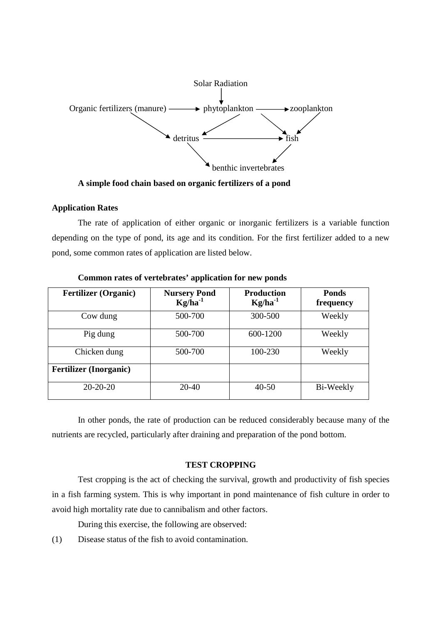

**A simple food chain based on organic fertilizers of a pond** 

### **Application Rates**

 The rate of application of either organic or inorganic fertilizers is a variable function depending on the type of pond, its age and its condition. For the first fertilizer added to a new pond, some common rates of application are listed below.

| <b>Fertilizer</b> (Organic)   | <b>Nursery Pond</b><br>$Kg/ha^{-1}$ | <b>Production</b><br>$Kg/ha^{-1}$ | <b>Ponds</b><br>frequency |
|-------------------------------|-------------------------------------|-----------------------------------|---------------------------|
| Cow dung                      | 500-700                             | 300-500                           | Weekly                    |
| Pig dung                      | 500-700                             | 600-1200                          | Weekly                    |
| Chicken dung                  | 500-700                             | 100-230                           | Weekly                    |
| <b>Fertilizer</b> (Inorganic) |                                     |                                   |                           |
| $20-20-20$                    | 20-40                               | $40 - 50$                         | Bi-Weekly                 |

 **Common rates of vertebrates' application for new ponds** 

In other ponds, the rate of production can be reduced considerably because many of the nutrients are recycled, particularly after draining and preparation of the pond bottom.

## **TEST CROPPING**

 Test cropping is the act of checking the survival, growth and productivity of fish species in a fish farming system. This is why important in pond maintenance of fish culture in order to avoid high mortality rate due to cannibalism and other factors.

During this exercise, the following are observed:

(1) Disease status of the fish to avoid contamination.